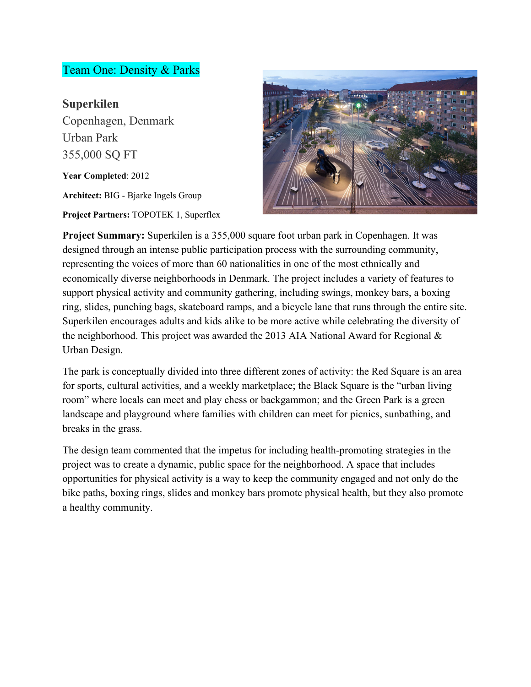# Team One: Density & Parks

**Superkilen** Copenhagen, Denmark Urban Park 355,000 SQ FT

**Year Completed**: 2012

**Architect:** BIG - Bjarke Ingels Group **Project Partners:** TOPOTEK 1, Superflex



**Project Summary:** Superkilen is a 355,000 square foot urban park in Copenhagen. It was designed through an intense public participation process with the surrounding community, representing the voices of more than 60 nationalities in one of the most ethnically and economically diverse neighborhoods in Denmark. The project includes a variety of features to support physical activity and community gathering, including swings, monkey bars, a boxing ring, slides, punching bags, skateboard ramps, and a bicycle lane that runs through the entire site. Superkilen encourages adults and kids alike to be more active while celebrating the diversity of the neighborhood. This project was awarded the 2013 AIA National Award for Regional & Urban Design.

The park is conceptually divided into three different zones of activity: the Red Square is an area for sports, cultural activities, and a weekly marketplace; the Black Square is the "urban living room" where locals can meet and play chess or backgammon; and the Green Park is a green landscape and playground where families with children can meet for picnics, sunbathing, and breaks in the grass.

The design team commented that the impetus for including health-promoting strategies in the project was to create a dynamic, public space for the neighborhood. A space that includes opportunities for physical activity is a way to keep the community engaged and not only do the bike paths, boxing rings, slides and monkey bars promote physical health, but they also promote a healthy community.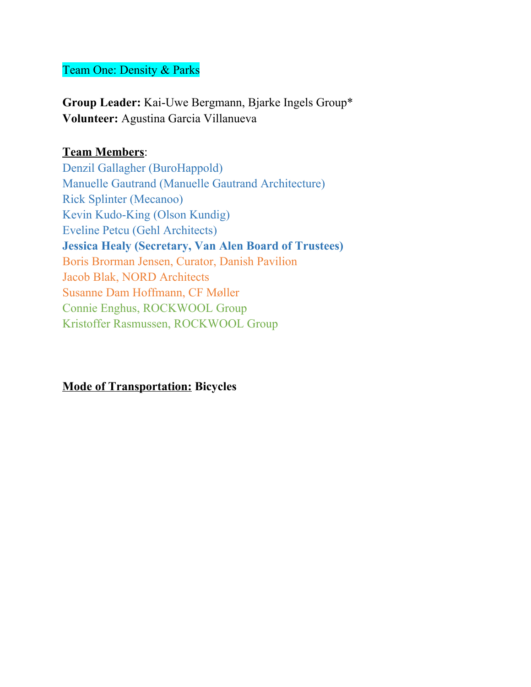# Team One: Density & Parks

**Group Leader:** Kai-Uwe Bergmann, Bjarke Ingels Group\* **Volunteer:** Agustina Garcia Villanueva

# **Team Members**:

Denzil Gallagher (BuroHappold) Manuelle Gautrand (Manuelle Gautrand Architecture) Rick Splinter (Mecanoo) Kevin Kudo-King (Olson Kundig) Eveline Petcu (Gehl Architects) **Jessica Healy (Secretary, Van Alen Board of Trustees)** Boris Brorman Jensen, Curator, Danish Pavilion Jacob Blak, NORD Architects Susanne Dam Hoffmann, CF Møller Connie Enghus, ROCKWOOL Group Kristoffer Rasmussen, ROCKWOOL Group

### **Mode of Transportation: Bicycles**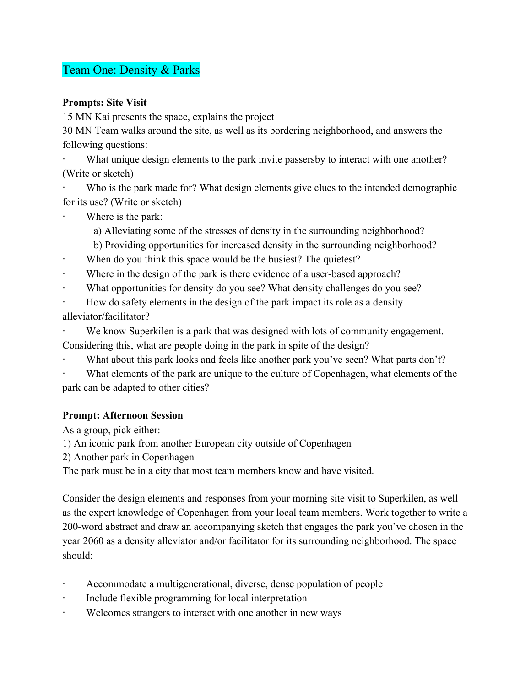# Team One: Density & Parks

### **Prompts: Site Visit**

15 MN Kai presents the space, explains the project

30 MN Team walks around the site, as well as its bordering neighborhood, and answers the following questions:

What unique design elements to the park invite passersby to interact with one another? (Write or sketch)

Who is the park made for? What design elements give clues to the intended demographic for its use? (Write or sketch)

Where is the park:

a) Alleviating some of the stresses of density in the surrounding neighborhood?

b) Providing opportunities for increased density in the surrounding neighborhood?

When do you think this space would be the busiest? The quietest?

Where in the design of the park is there evidence of a user-based approach?

What opportunities for density do you see? What density challenges do you see?

How do safety elements in the design of the park impact its role as a density alleviator/facilitator?

We know Superkilen is a park that was designed with lots of community engagement. Considering this, what are people doing in the park in spite of the design?

- What about this park looks and feels like another park you've seen? What parts don't?
- What elements of the park are unique to the culture of Copenhagen, what elements of the park can be adapted to other cities?

### **Prompt: Afternoon Session**

As a group, pick either:

1) An iconic park from another European city outside of Copenhagen

2) Another park in Copenhagen

The park must be in a city that most team members know and have visited.

Consider the design elements and responses from your morning site visit to Superkilen, as well as the expert knowledge of Copenhagen from your local team members. Work together to write a 200-word abstract and draw an accompanying sketch that engages the park you've chosen in the year 2060 as a density alleviator and/or facilitator for its surrounding neighborhood. The space should:

- Accommodate a multigenerational, diverse, dense population of people
- Include flexible programming for local interpretation
- · Welcomes strangers to interact with one another in new ways